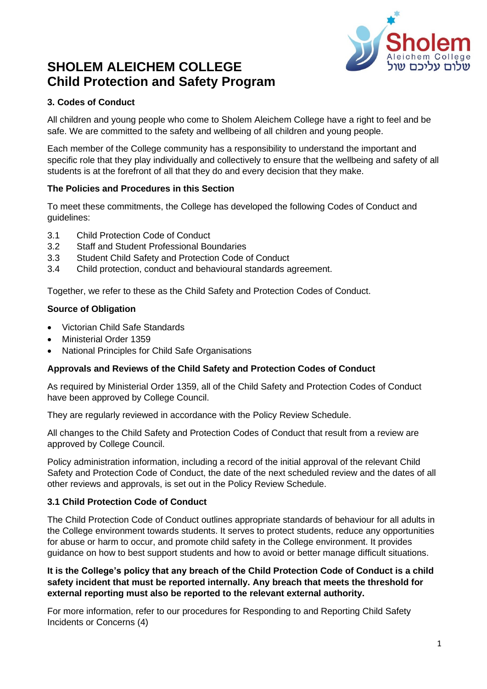

# **SHOLEM ALEICHEM COLLEGE Child Protection and Safety Program**

# **3. Codes of Conduct**

All children and young people who come to Sholem Aleichem College have a right to feel and be safe. We are committed to the safety and wellbeing of all children and young people.

Each member of the College community has a responsibility to understand the important and specific role that they play individually and collectively to ensure that the wellbeing and safety of all students is at the forefront of all that they do and every decision that they make.

## **The Policies and Procedures in this Section**

To meet these commitments, the College has developed the following Codes of Conduct and guidelines:

- 3.1 Child Protection Code of Conduct
- 3.2 Staff and Student Professional Boundaries
- 3.3 Student Child Safety and Protection Code of Conduct
- 3.4 Child protection, conduct and behavioural standards agreement.

Together, we refer to these as the Child Safety and Protection Codes of Conduct.

## **Source of Obligation**

- Victorian Child Safe Standards
- Ministerial Order 1359
- National Principles for Child Safe Organisations

#### **Approvals and Reviews of the Child Safety and Protection Codes of Conduct**

As required by Ministerial Order 1359, all of the Child Safety and Protection Codes of Conduct have been approved by College Council.

They are regularly reviewed in accordance with the Policy Review Schedule.

All changes to the Child Safety and Protection Codes of Conduct that result from a review are approved by College Council.

Policy administration information, including a record of the initial approval of the relevant Child Safety and Protection Code of Conduct, the date of the next scheduled review and the dates of all other reviews and approvals, is set out in the Policy Review Schedule.

## **3.1 Child Protection Code of Conduct**

The Child Protection Code of Conduct outlines appropriate standards of behaviour for all adults in the College environment towards students. It serves to protect students, reduce any opportunities for abuse or harm to occur, and promote child safety in the College environment. It provides guidance on how to best support students and how to avoid or better manage difficult situations.

## **It is the College's policy that any breach of the Child Protection Code of Conduct is a child safety incident that must be reported internally. Any breach that meets the threshold for external reporting must also be reported to the relevant external authority.**

For more information, refer to our procedures for Responding to and Reporting Child Safety Incidents or Concerns (4)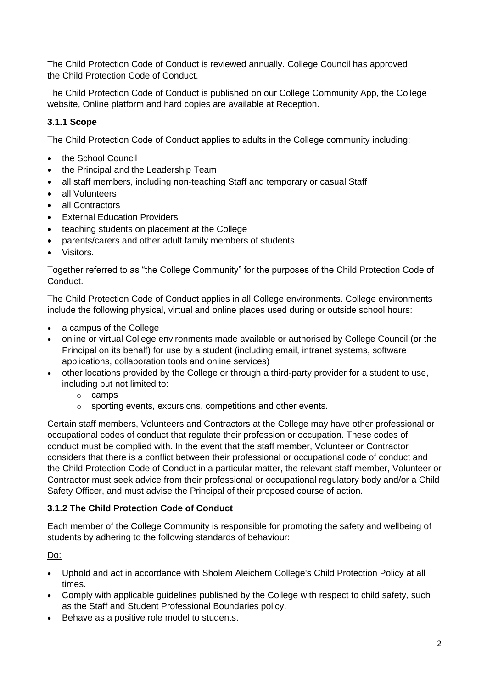The Child Protection Code of Conduct is reviewed annually. College Council has approved the Child Protection Code of Conduct.

The Child Protection Code of Conduct is published on our College Community App, the College website, Online platform and hard copies are available at Reception.

# **3.1.1 Scope**

The Child Protection Code of Conduct applies to adults in the College community including:

- the School Council
- the Principal and the Leadership Team
- all staff members, including non-teaching Staff and temporary or casual Staff
- all Volunteers
- all Contractors
- External Education Providers
- teaching students on placement at the College
- parents/carers and other adult family members of students
- Visitors.

Together referred to as "the College Community" for the purposes of the Child Protection Code of Conduct.

The Child Protection Code of Conduct applies in all College environments. College environments include the following physical, virtual and online places used during or outside school hours:

- a campus of the College
- online or virtual College environments made available or authorised by College Council (or the Principal on its behalf) for use by a student (including email, intranet systems, software applications, collaboration tools and online services)
- other locations provided by the College or through a third-party provider for a student to use, including but not limited to:
	- o camps
	- o sporting events, excursions, competitions and other events.

Certain staff members, Volunteers and Contractors at the College may have other professional or occupational codes of conduct that regulate their profession or occupation. These codes of conduct must be complied with. In the event that the staff member, Volunteer or Contractor considers that there is a conflict between their professional or occupational code of conduct and the Child Protection Code of Conduct in a particular matter, the relevant staff member, Volunteer or Contractor must seek advice from their professional or occupational regulatory body and/or a Child Safety Officer, and must advise the Principal of their proposed course of action.

## **3.1.2 The Child Protection Code of Conduct**

Each member of the College Community is responsible for promoting the safety and wellbeing of students by adhering to the following standards of behaviour:

Do:

- Uphold and act in accordance with Sholem Aleichem College's Child Protection Policy at all times.
- Comply with applicable guidelines published by the College with respect to child safety, such as the Staff and Student Professional Boundaries policy.
- Behave as a positive role model to students.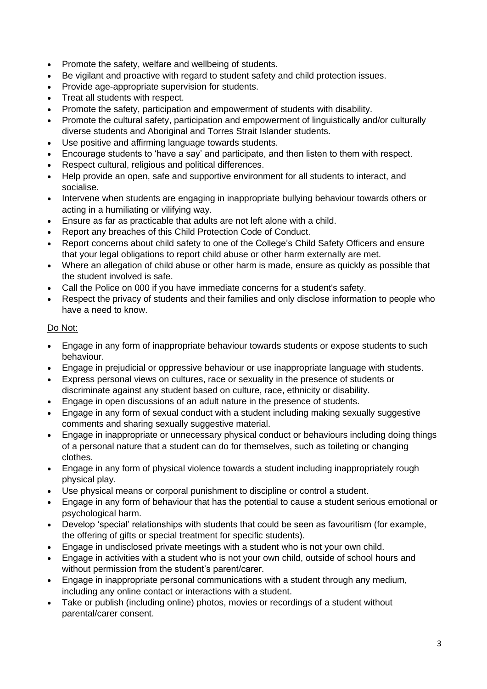- Promote the safety, welfare and wellbeing of students.
- Be vigilant and proactive with regard to student safety and child protection issues.
- Provide age-appropriate supervision for students.
- Treat all students with respect.
- Promote the safety, participation and empowerment of students with disability.
- Promote the cultural safety, participation and empowerment of linguistically and/or culturally diverse students and Aboriginal and Torres Strait Islander students.
- Use positive and affirming language towards students.
- Encourage students to 'have a say' and participate, and then listen to them with respect.
- Respect cultural, religious and political differences.
- Help provide an open, safe and supportive environment for all students to interact, and socialise.
- Intervene when students are engaging in inappropriate bullying behaviour towards others or acting in a humiliating or vilifying way.
- Ensure as far as practicable that adults are not left alone with a child.
- Report any breaches of this Child Protection Code of Conduct.
- Report concerns about child safety to one of the College's Child Safety Officers and ensure that your legal obligations to report child abuse or other harm externally are met.
- Where an allegation of child abuse or other harm is made, ensure as quickly as possible that the student involved is safe.
- Call the Police on 000 if you have immediate concerns for a student's safety.
- Respect the privacy of students and their families and only disclose information to people who have a need to know.

# Do Not:

- Engage in any form of inappropriate behaviour towards students or expose students to such behaviour.
- Engage in prejudicial or oppressive behaviour or use inappropriate language with students.
- Express personal views on cultures, race or sexuality in the presence of students or discriminate against any student based on culture, race, ethnicity or disability.
- Engage in open discussions of an adult nature in the presence of students.
- Engage in any form of sexual conduct with a student including making sexually suggestive comments and sharing sexually suggestive material.
- Engage in inappropriate or unnecessary physical conduct or behaviours including doing things of a personal nature that a student can do for themselves, such as toileting or changing clothes.
- Engage in any form of physical violence towards a student including inappropriately rough physical play.
- Use physical means or corporal punishment to discipline or control a student.
- Engage in any form of behaviour that has the potential to cause a student serious emotional or psychological harm.
- Develop 'special' relationships with students that could be seen as favouritism (for example, the offering of gifts or special treatment for specific students).
- Engage in undisclosed private meetings with a student who is not your own child.
- Engage in activities with a student who is not your own child, outside of school hours and without permission from the student's parent/carer.
- Engage in inappropriate personal communications with a student through any medium, including any online contact or interactions with a student.
- Take or publish (including online) photos, movies or recordings of a student without parental/carer consent.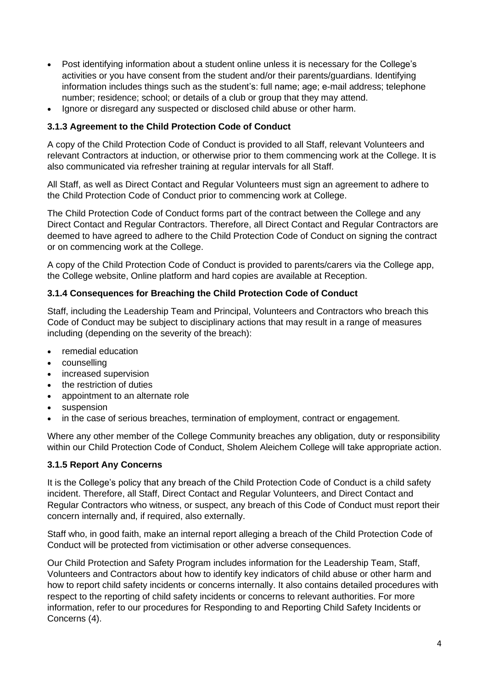- Post identifying information about a student online unless it is necessary for the College's activities or you have consent from the student and/or their parents/guardians. Identifying information includes things such as the student's: full name; age; e-mail address; telephone number; residence; school; or details of a club or group that they may attend.
- Ignore or disregard any suspected or disclosed child abuse or other harm.

#### **3.1.3 Agreement to the Child Protection Code of Conduct**

A copy of the Child Protection Code of Conduct is provided to all Staff, relevant Volunteers and relevant Contractors at induction, or otherwise prior to them commencing work at the College. It is also communicated via refresher training at regular intervals for all Staff.

All Staff, as well as Direct Contact and Regular Volunteers must sign an agreement to adhere to the Child Protection Code of Conduct prior to commencing work at College.

The Child Protection Code of Conduct forms part of the contract between the College and any Direct Contact and Regular Contractors. Therefore, all Direct Contact and Regular Contractors are deemed to have agreed to adhere to the Child Protection Code of Conduct on signing the contract or on commencing work at the College.

A copy of the Child Protection Code of Conduct is provided to parents/carers via the College app, the College website, Online platform and hard copies are available at Reception.

#### **3.1.4 Consequences for Breaching the Child Protection Code of Conduct**

Staff, including the Leadership Team and Principal, Volunteers and Contractors who breach this Code of Conduct may be subject to disciplinary actions that may result in a range of measures including (depending on the severity of the breach):

- remedial education
- counselling
- increased supervision
- the restriction of duties
- appointment to an alternate role
- suspension
- in the case of serious breaches, termination of employment, contract or engagement.

Where any other member of the College Community breaches any obligation, duty or responsibility within our Child Protection Code of Conduct, Sholem Aleichem College will take appropriate action.

#### **3.1.5 Report Any Concerns**

It is the College's policy that any breach of the Child Protection Code of Conduct is a child safety incident. Therefore, all Staff, Direct Contact and Regular Volunteers, and Direct Contact and Regular Contractors who witness, or suspect, any breach of this Code of Conduct must report their concern internally and, if required, also externally.

Staff who, in good faith, make an internal report alleging a breach of the Child Protection Code of Conduct will be protected from victimisation or other adverse consequences.

Our Child Protection and Safety Program includes information for the Leadership Team, Staff, Volunteers and Contractors about how to identify key indicators of child abuse or other harm and how to report child safety incidents or concerns internally. It also contains detailed procedures with respect to the reporting of child safety incidents or concerns to relevant authorities. For more information, refer to our procedures for Responding to and Reporting Child Safety Incidents or Concerns (4).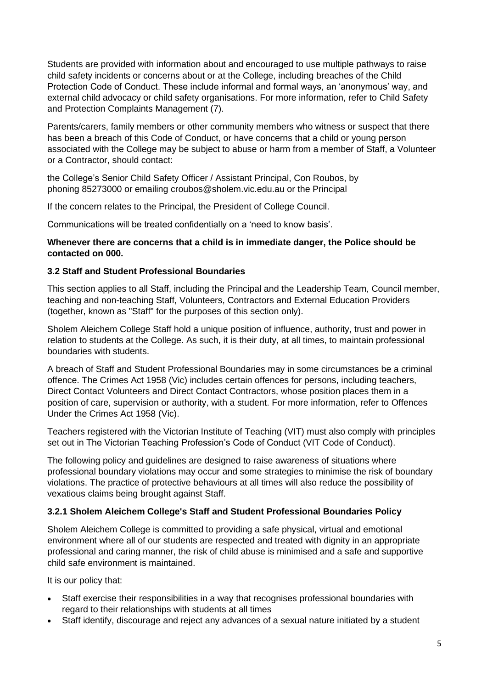Students are provided with information about and encouraged to use multiple pathways to raise child safety incidents or concerns about or at the College, including breaches of the Child Protection Code of Conduct. These include informal and formal ways, an 'anonymous' way, and external child advocacy or child safety organisations. For more information, refer to Child Safety and Protection Complaints Management (7).

Parents/carers, family members or other community members who witness or suspect that there has been a breach of this Code of Conduct, or have concerns that a child or young person associated with the College may be subject to abuse or harm from a member of Staff, a Volunteer or a Contractor, should contact:

the College's Senior Child Safety Officer / Assistant Principal, Con Roubos, by phoning 85273000 or emailing croubos@sholem.vic.edu.au or the Principal

If the concern relates to the Principal, the President of College Council.

Communications will be treated confidentially on a 'need to know basis'.

#### **Whenever there are concerns that a child is in immediate danger, the Police should be contacted on 000.**

## **3.2 Staff and Student Professional Boundaries**

This section applies to all Staff, including the Principal and the Leadership Team, Council member, teaching and non-teaching Staff, Volunteers, Contractors and External Education Providers (together, known as "Staff" for the purposes of this section only).

Sholem Aleichem College Staff hold a unique position of influence, authority, trust and power in relation to students at the College. As such, it is their duty, at all times, to maintain professional boundaries with students.

A breach of Staff and Student Professional Boundaries may in some circumstances be a criminal offence. The Crimes Act 1958 (Vic) includes certain offences for persons, including teachers, Direct Contact Volunteers and Direct Contact Contractors, whose position places them in a position of care, supervision or authority, with a student. For more information, refer to Offences Under the Crimes Act 1958 (Vic).

Teachers registered with the Victorian Institute of Teaching (VIT) must also comply with principles set out in The Victorian Teaching Profession's Code of Conduct (VIT Code of Conduct).

The following policy and guidelines are designed to raise awareness of situations where professional boundary violations may occur and some strategies to minimise the risk of boundary violations. The practice of protective behaviours at all times will also reduce the possibility of vexatious claims being brought against Staff.

## **3.2.1 Sholem Aleichem College's Staff and Student Professional Boundaries Policy**

Sholem Aleichem College is committed to providing a safe physical, virtual and emotional environment where all of our students are respected and treated with dignity in an appropriate professional and caring manner, the risk of child abuse is minimised and a safe and supportive child safe environment is maintained.

It is our policy that:

- Staff exercise their responsibilities in a way that recognises professional boundaries with regard to their relationships with students at all times
- Staff identify, discourage and reject any advances of a sexual nature initiated by a student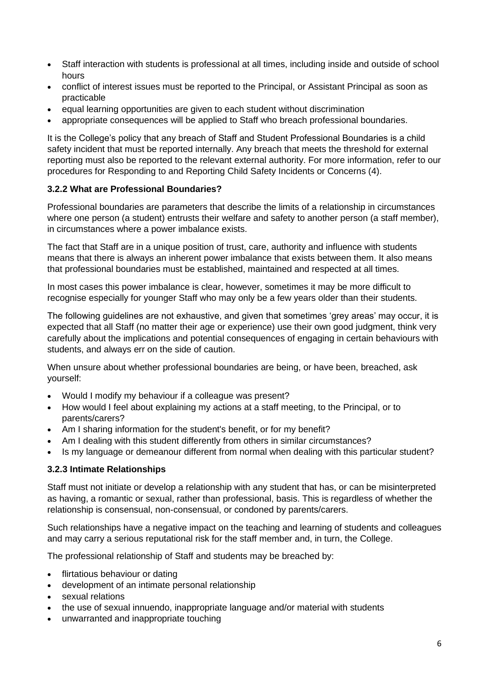- Staff interaction with students is professional at all times, including inside and outside of school hours
- conflict of interest issues must be reported to the Principal, or Assistant Principal as soon as practicable
- equal learning opportunities are given to each student without discrimination
- appropriate consequences will be applied to Staff who breach professional boundaries.

It is the College's policy that any breach of Staff and Student Professional Boundaries is a child safety incident that must be reported internally. Any breach that meets the threshold for external reporting must also be reported to the relevant external authority. For more information, refer to our procedures for Responding to and Reporting Child Safety Incidents or Concerns (4).

## **3.2.2 What are Professional Boundaries?**

Professional boundaries are parameters that describe the limits of a relationship in circumstances where one person (a student) entrusts their welfare and safety to another person (a staff member), in circumstances where a power imbalance exists.

The fact that Staff are in a unique position of trust, care, authority and influence with students means that there is always an inherent power imbalance that exists between them. It also means that professional boundaries must be established, maintained and respected at all times.

In most cases this power imbalance is clear, however, sometimes it may be more difficult to recognise especially for younger Staff who may only be a few years older than their students.

The following guidelines are not exhaustive, and given that sometimes 'grey areas' may occur, it is expected that all Staff (no matter their age or experience) use their own good judgment, think very carefully about the implications and potential consequences of engaging in certain behaviours with students, and always err on the side of caution.

When unsure about whether professional boundaries are being, or have been, breached, ask yourself:

- Would I modify my behaviour if a colleague was present?
- How would I feel about explaining my actions at a staff meeting, to the Principal, or to parents/carers?
- Am I sharing information for the student's benefit, or for my benefit?
- Am I dealing with this student differently from others in similar circumstances?
- Is my language or demeanour different from normal when dealing with this particular student?

#### **3.2.3 Intimate Relationships**

Staff must not initiate or develop a relationship with any student that has, or can be misinterpreted as having, a romantic or sexual, rather than professional, basis. This is regardless of whether the relationship is consensual, non-consensual, or condoned by parents/carers.

Such relationships have a negative impact on the teaching and learning of students and colleagues and may carry a serious reputational risk for the staff member and, in turn, the College.

The professional relationship of Staff and students may be breached by:

- flirtatious behaviour or dating
- development of an intimate personal relationship
- sexual relations
- the use of sexual innuendo, inappropriate language and/or material with students
- unwarranted and inappropriate touching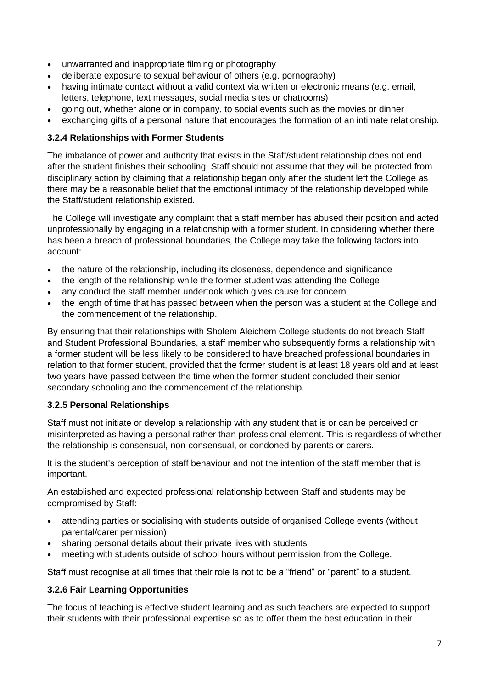- unwarranted and inappropriate filming or photography
- deliberate exposure to sexual behaviour of others (e.g. pornography)
- having intimate contact without a valid context via written or electronic means (e.g. email, letters, telephone, text messages, social media sites or chatrooms)
- going out, whether alone or in company, to social events such as the movies or dinner
- exchanging gifts of a personal nature that encourages the formation of an intimate relationship.

## **3.2.4 Relationships with Former Students**

The imbalance of power and authority that exists in the Staff/student relationship does not end after the student finishes their schooling. Staff should not assume that they will be protected from disciplinary action by claiming that a relationship began only after the student left the College as there may be a reasonable belief that the emotional intimacy of the relationship developed while the Staff/student relationship existed.

The College will investigate any complaint that a staff member has abused their position and acted unprofessionally by engaging in a relationship with a former student. In considering whether there has been a breach of professional boundaries, the College may take the following factors into account:

- the nature of the relationship, including its closeness, dependence and significance
- the length of the relationship while the former student was attending the College
- any conduct the staff member undertook which gives cause for concern
- the length of time that has passed between when the person was a student at the College and the commencement of the relationship.

By ensuring that their relationships with Sholem Aleichem College students do not breach Staff and Student Professional Boundaries, a staff member who subsequently forms a relationship with a former student will be less likely to be considered to have breached professional boundaries in relation to that former student, provided that the former student is at least 18 years old and at least two years have passed between the time when the former student concluded their senior secondary schooling and the commencement of the relationship.

## **3.2.5 Personal Relationships**

Staff must not initiate or develop a relationship with any student that is or can be perceived or misinterpreted as having a personal rather than professional element. This is regardless of whether the relationship is consensual, non-consensual, or condoned by parents or carers.

It is the student's perception of staff behaviour and not the intention of the staff member that is important.

An established and expected professional relationship between Staff and students may be compromised by Staff:

- attending parties or socialising with students outside of organised College events (without parental/carer permission)
- sharing personal details about their private lives with students
- meeting with students outside of school hours without permission from the College.

Staff must recognise at all times that their role is not to be a "friend" or "parent" to a student.

## **3.2.6 Fair Learning Opportunities**

The focus of teaching is effective student learning and as such teachers are expected to support their students with their professional expertise so as to offer them the best education in their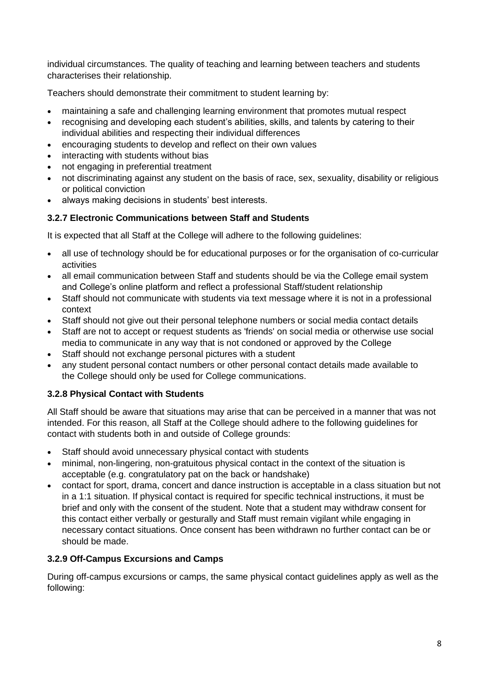individual circumstances. The quality of teaching and learning between teachers and students characterises their relationship.

Teachers should demonstrate their commitment to student learning by:

- maintaining a safe and challenging learning environment that promotes mutual respect
- recognising and developing each student's abilities, skills, and talents by catering to their individual abilities and respecting their individual differences
- encouraging students to develop and reflect on their own values
- interacting with students without bias
- not engaging in preferential treatment
- not discriminating against any student on the basis of race, sex, sexuality, disability or religious or political conviction
- always making decisions in students' best interests.

## **3.2.7 Electronic Communications between Staff and Students**

It is expected that all Staff at the College will adhere to the following guidelines:

- all use of technology should be for educational purposes or for the organisation of co-curricular activities
- all email communication between Staff and students should be via the College email system and College's online platform and reflect a professional Staff/student relationship
- Staff should not communicate with students via text message where it is not in a professional context
- Staff should not give out their personal telephone numbers or social media contact details
- Staff are not to accept or request students as 'friends' on social media or otherwise use social media to communicate in any way that is not condoned or approved by the College
- Staff should not exchange personal pictures with a student
- any student personal contact numbers or other personal contact details made available to the College should only be used for College communications.

## **3.2.8 Physical Contact with Students**

All Staff should be aware that situations may arise that can be perceived in a manner that was not intended. For this reason, all Staff at the College should adhere to the following guidelines for contact with students both in and outside of College grounds:

- Staff should avoid unnecessary physical contact with students
- minimal, non-lingering, non-gratuitous physical contact in the context of the situation is acceptable (e.g. congratulatory pat on the back or handshake)
- contact for sport, drama, concert and dance instruction is acceptable in a class situation but not in a 1:1 situation. If physical contact is required for specific technical instructions, it must be brief and only with the consent of the student. Note that a student may withdraw consent for this contact either verbally or gesturally and Staff must remain vigilant while engaging in necessary contact situations. Once consent has been withdrawn no further contact can be or should be made.

## **3.2.9 Off-Campus Excursions and Camps**

During off-campus excursions or camps, the same physical contact guidelines apply as well as the following: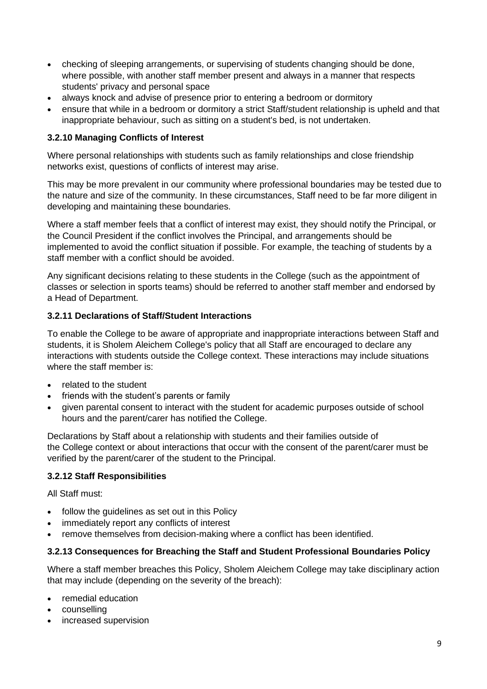- checking of sleeping arrangements, or supervising of students changing should be done, where possible, with another staff member present and always in a manner that respects students' privacy and personal space
- always knock and advise of presence prior to entering a bedroom or dormitory
- ensure that while in a bedroom or dormitory a strict Staff/student relationship is upheld and that inappropriate behaviour, such as sitting on a student's bed, is not undertaken.

## **3.2.10 Managing Conflicts of Interest**

Where personal relationships with students such as family relationships and close friendship networks exist, questions of conflicts of interest may arise.

This may be more prevalent in our community where professional boundaries may be tested due to the nature and size of the community. In these circumstances, Staff need to be far more diligent in developing and maintaining these boundaries.

Where a staff member feels that a conflict of interest may exist, they should notify the Principal, or the Council President if the conflict involves the Principal, and arrangements should be implemented to avoid the conflict situation if possible. For example, the teaching of students by a staff member with a conflict should be avoided.

Any significant decisions relating to these students in the College (such as the appointment of classes or selection in sports teams) should be referred to another staff member and endorsed by a Head of Department.

## **3.2.11 Declarations of Staff/Student Interactions**

To enable the College to be aware of appropriate and inappropriate interactions between Staff and students, it is Sholem Aleichem College's policy that all Staff are encouraged to declare any interactions with students outside the College context. These interactions may include situations where the staff member is:

- related to the student
- friends with the student's parents or family
- given parental consent to interact with the student for academic purposes outside of school hours and the parent/carer has notified the College.

Declarations by Staff about a relationship with students and their families outside of the College context or about interactions that occur with the consent of the parent/carer must be verified by the parent/carer of the student to the Principal.

#### **3.2.12 Staff Responsibilities**

All Staff must:

- follow the quidelines as set out in this Policy
- immediately report any conflicts of interest
- remove themselves from decision-making where a conflict has been identified.

#### **3.2.13 Consequences for Breaching the Staff and Student Professional Boundaries Policy**

Where a staff member breaches this Policy, Sholem Aleichem College may take disciplinary action that may include (depending on the severity of the breach):

- remedial education
- counselling
- increased supervision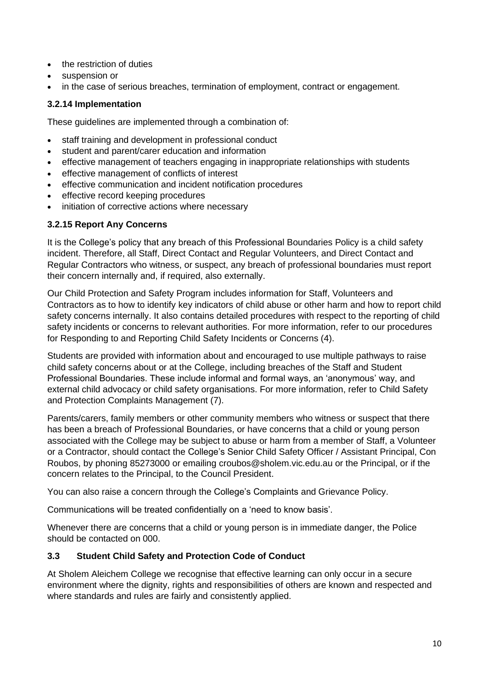- the restriction of duties
- suspension or
- in the case of serious breaches, termination of employment, contract or engagement.

## **3.2.14 Implementation**

These guidelines are implemented through a combination of:

- staff training and development in professional conduct
- student and parent/carer education and information
- effective management of teachers engaging in inappropriate relationships with students
- effective management of conflicts of interest
- effective communication and incident notification procedures
- effective record keeping procedures
- initiation of corrective actions where necessary

## **3.2.15 Report Any Concerns**

It is the College's policy that any breach of this Professional Boundaries Policy is a child safety incident. Therefore, all Staff, Direct Contact and Regular Volunteers, and Direct Contact and Regular Contractors who witness, or suspect, any breach of professional boundaries must report their concern internally and, if required, also externally.

Our Child Protection and Safety Program includes information for Staff, Volunteers and Contractors as to how to identify key indicators of child abuse or other harm and how to report child safety concerns internally. It also contains detailed procedures with respect to the reporting of child safety incidents or concerns to relevant authorities. For more information, refer to our procedures for Responding to and Reporting Child Safety Incidents or Concerns (4).

Students are provided with information about and encouraged to use multiple pathways to raise child safety concerns about or at the College, including breaches of the Staff and Student Professional Boundaries. These include informal and formal ways, an 'anonymous' way, and external child advocacy or child safety organisations. For more information, refer to Child Safety and Protection Complaints Management (7).

Parents/carers, family members or other community members who witness or suspect that there has been a breach of Professional Boundaries, or have concerns that a child or young person associated with the College may be subject to abuse or harm from a member of Staff, a Volunteer or a Contractor, should contact the College's Senior Child Safety Officer / Assistant Principal, Con Roubos, by phoning 85273000 or emailing croubos@sholem.vic.edu.au or the Principal, or if the concern relates to the Principal, to the Council President.

You can also raise a concern through the College's Complaints and Grievance Policy.

Communications will be treated confidentially on a 'need to know basis'.

Whenever there are concerns that a child or young person is in immediate danger, the Police should be contacted on 000.

## **3.3 Student Child Safety and Protection Code of Conduct**

At Sholem Aleichem College we recognise that effective learning can only occur in a secure environment where the dignity, rights and responsibilities of others are known and respected and where standards and rules are fairly and consistently applied.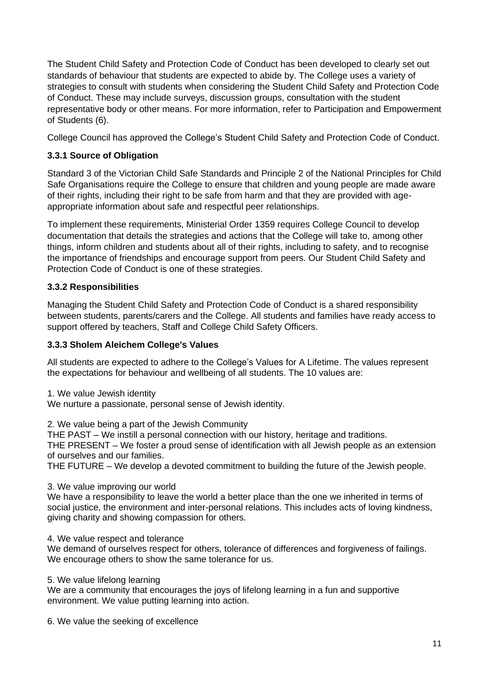The Student Child Safety and Protection Code of Conduct has been developed to clearly set out standards of behaviour that students are expected to abide by. The College uses a variety of strategies to consult with students when considering the Student Child Safety and Protection Code of Conduct. These may include surveys, discussion groups, consultation with the student representative body or other means. For more information, refer to Participation and Empowerment of Students (6).

College Council has approved the College's Student Child Safety and Protection Code of Conduct.

# **3.3.1 Source of Obligation**

Standard 3 of the Victorian Child Safe Standards and Principle 2 of the National Principles for Child Safe Organisations require the College to ensure that children and young people are made aware of their rights, including their right to be safe from harm and that they are provided with ageappropriate information about safe and respectful peer relationships.

To implement these requirements, Ministerial Order 1359 requires College Council to develop documentation that details the strategies and actions that the College will take to, among other things, inform children and students about all of their rights, including to safety, and to recognise the importance of friendships and encourage support from peers. Our Student Child Safety and Protection Code of Conduct is one of these strategies.

# **3.3.2 Responsibilities**

Managing the Student Child Safety and Protection Code of Conduct is a shared responsibility between students, parents/carers and the College. All students and families have ready access to support offered by teachers, Staff and College Child Safety Officers.

# **3.3.3 Sholem Aleichem College's Values**

All students are expected to adhere to the College's Values for A Lifetime. The values represent the expectations for behaviour and wellbeing of all students. The 10 values are:

1. We value Jewish identity

We nurture a passionate, personal sense of Jewish identity.

2. We value being a part of the Jewish Community

THE PAST – We instill a personal connection with our history, heritage and traditions.

THE PRESENT – We foster a proud sense of identification with all Jewish people as an extension of ourselves and our families.

THE FUTURE – We develop a devoted commitment to building the future of the Jewish people.

3. We value improving our world

We have a responsibility to leave the world a better place than the one we inherited in terms of social justice, the environment and inter-personal relations. This includes acts of loving kindness, giving charity and showing compassion for others.

4. We value respect and tolerance

We demand of ourselves respect for others, tolerance of differences and forgiveness of failings. We encourage others to show the same tolerance for us.

## 5. We value lifelong learning

We are a community that encourages the joys of lifelong learning in a fun and supportive environment. We value putting learning into action.

6. We value the seeking of excellence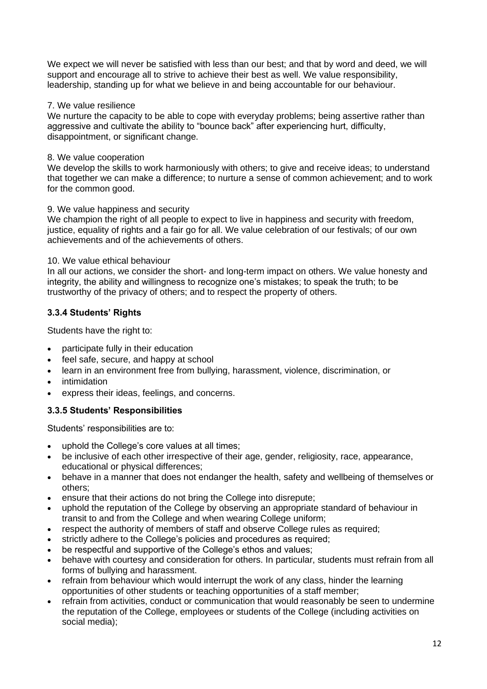We expect we will never be satisfied with less than our best; and that by word and deed, we will support and encourage all to strive to achieve their best as well. We value responsibility, leadership, standing up for what we believe in and being accountable for our behaviour.

#### 7. We value resilience

We nurture the capacity to be able to cope with everyday problems; being assertive rather than aggressive and cultivate the ability to "bounce back" after experiencing hurt, difficulty, disappointment, or significant change.

## 8. We value cooperation

We develop the skills to work harmoniously with others; to give and receive ideas; to understand that together we can make a difference; to nurture a sense of common achievement; and to work for the common good.

## 9. We value happiness and security

We champion the right of all people to expect to live in happiness and security with freedom, justice, equality of rights and a fair go for all. We value celebration of our festivals; of our own achievements and of the achievements of others.

## 10. We value ethical behaviour

In all our actions, we consider the short- and long-term impact on others. We value honesty and integrity, the ability and willingness to recognize one's mistakes; to speak the truth; to be trustworthy of the privacy of others; and to respect the property of others.

## **3.3.4 Students' Rights**

Students have the right to:

- participate fully in their education
- feel safe, secure, and happy at school
- learn in an environment free from bullying, harassment, violence, discrimination, or
- intimidation
- express their ideas, feelings, and concerns.

## **3.3.5 Students' Responsibilities**

Students' responsibilities are to:

- uphold the College's core values at all times;
- be inclusive of each other irrespective of their age, gender, religiosity, race, appearance, educational or physical differences;
- behave in a manner that does not endanger the health, safety and wellbeing of themselves or others;
- ensure that their actions do not bring the College into disrepute:
- uphold the reputation of the College by observing an appropriate standard of behaviour in transit to and from the College and when wearing College uniform;
- respect the authority of members of staff and observe College rules as required;
- strictly adhere to the College's policies and procedures as required;
- be respectful and supportive of the College's ethos and values;
- behave with courtesy and consideration for others. In particular, students must refrain from all forms of bullying and harassment.
- refrain from behaviour which would interrupt the work of any class, hinder the learning opportunities of other students or teaching opportunities of a staff member;
- refrain from activities, conduct or communication that would reasonably be seen to undermine the reputation of the College, employees or students of the College (including activities on social media);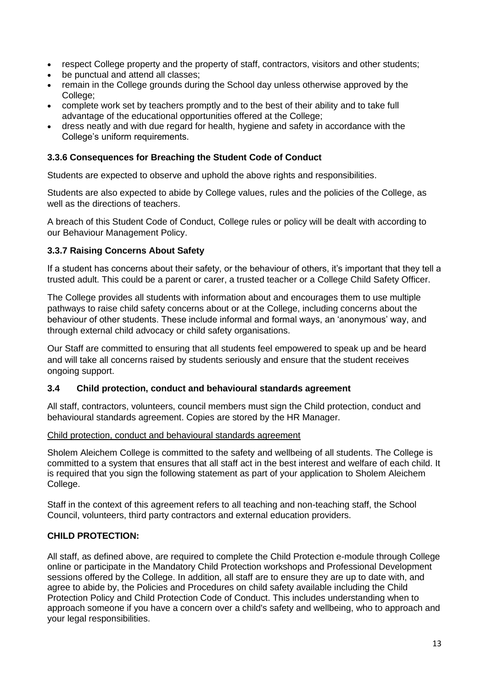- respect College property and the property of staff, contractors, visitors and other students;
- be punctual and attend all classes;
- remain in the College grounds during the School day unless otherwise approved by the College;
- complete work set by teachers promptly and to the best of their ability and to take full advantage of the educational opportunities offered at the College;
- dress neatly and with due regard for health, hygiene and safety in accordance with the College's uniform requirements.

## **3.3.6 Consequences for Breaching the Student Code of Conduct**

Students are expected to observe and uphold the above rights and responsibilities.

Students are also expected to abide by College values, rules and the policies of the College, as well as the directions of teachers.

A breach of this Student Code of Conduct, College rules or policy will be dealt with according to our Behaviour Management Policy.

## **3.3.7 Raising Concerns About Safety**

If a student has concerns about their safety, or the behaviour of others, it's important that they tell a trusted adult. This could be a parent or carer, a trusted teacher or a College Child Safety Officer.

The College provides all students with information about and encourages them to use multiple pathways to raise child safety concerns about or at the College, including concerns about the behaviour of other students. These include informal and formal ways, an 'anonymous' way, and through external child advocacy or child safety organisations.

Our Staff are committed to ensuring that all students feel empowered to speak up and be heard and will take all concerns raised by students seriously and ensure that the student receives ongoing support.

#### **3.4 Child protection, conduct and behavioural standards agreement**

All staff, contractors, volunteers, council members must sign the Child protection, conduct and behavioural standards agreement. Copies are stored by the HR Manager.

#### Child protection, conduct and behavioural standards agreement

Sholem Aleichem College is committed to the safety and wellbeing of all students. The College is committed to a system that ensures that all staff act in the best interest and welfare of each child. It is required that you sign the following statement as part of your application to Sholem Aleichem College.

Staff in the context of this agreement refers to all teaching and non-teaching staff, the School Council, volunteers, third party contractors and external education providers.

## **CHILD PROTECTION:**

All staff, as defined above, are required to complete the Child Protection e-module through College online or participate in the Mandatory Child Protection workshops and Professional Development sessions offered by the College. In addition, all staff are to ensure they are up to date with, and agree to abide by, the Policies and Procedures on child safety available including the Child Protection Policy and Child Protection Code of Conduct. This includes understanding when to approach someone if you have a concern over a child's safety and wellbeing, who to approach and your legal responsibilities.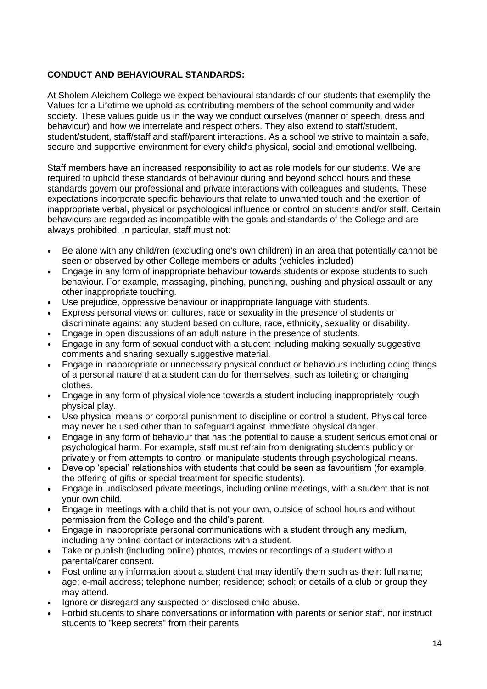## **CONDUCT AND BEHAVIOURAL STANDARDS:**

At Sholem Aleichem College we expect behavioural standards of our students that exemplify the Values for a Lifetime we uphold as contributing members of the school community and wider society. These values guide us in the way we conduct ourselves (manner of speech, dress and behaviour) and how we interrelate and respect others. They also extend to staff/student, student/student, staff/staff and staff/parent interactions. As a school we strive to maintain a safe, secure and supportive environment for every child's physical, social and emotional wellbeing.

Staff members have an increased responsibility to act as role models for our students. We are required to uphold these standards of behaviour during and beyond school hours and these standards govern our professional and private interactions with colleagues and students. These expectations incorporate specific behaviours that relate to unwanted touch and the exertion of inappropriate verbal, physical or psychological influence or control on students and/or staff. Certain behaviours are regarded as incompatible with the goals and standards of the College and are always prohibited. In particular, staff must not:

- Be alone with any child/ren (excluding one's own children) in an area that potentially cannot be seen or observed by other College members or adults (vehicles included)
- Engage in any form of inappropriate behaviour towards students or expose students to such behaviour. For example, massaging, pinching, punching, pushing and physical assault or any other inappropriate touching.
- Use prejudice, oppressive behaviour or inappropriate language with students.
- Express personal views on cultures, race or sexuality in the presence of students or discriminate against any student based on culture, race, ethnicity, sexuality or disability.
- Engage in open discussions of an adult nature in the presence of students.
- Engage in any form of sexual conduct with a student including making sexually suggestive comments and sharing sexually suggestive material.
- Engage in inappropriate or unnecessary physical conduct or behaviours including doing things of a personal nature that a student can do for themselves, such as toileting or changing clothes.
- Engage in any form of physical violence towards a student including inappropriately rough physical play.
- Use physical means or corporal punishment to discipline or control a student. Physical force may never be used other than to safeguard against immediate physical danger.
- Engage in any form of behaviour that has the potential to cause a student serious emotional or psychological harm. For example, staff must refrain from denigrating students publicly or privately or from attempts to control or manipulate students through psychological means.
- Develop 'special' relationships with students that could be seen as favouritism (for example, the offering of gifts or special treatment for specific students).
- Engage in undisclosed private meetings, including online meetings, with a student that is not your own child.
- Engage in meetings with a child that is not your own, outside of school hours and without permission from the College and the child's parent.
- Engage in inappropriate personal communications with a student through any medium, including any online contact or interactions with a student.
- Take or publish (including online) photos, movies or recordings of a student without parental/carer consent.
- Post online any information about a student that may identify them such as their: full name: age; e-mail address; telephone number; residence; school; or details of a club or group they may attend.
- Ignore or disregard any suspected or disclosed child abuse.
- Forbid students to share conversations or information with parents or senior staff, nor instruct students to "keep secrets" from their parents